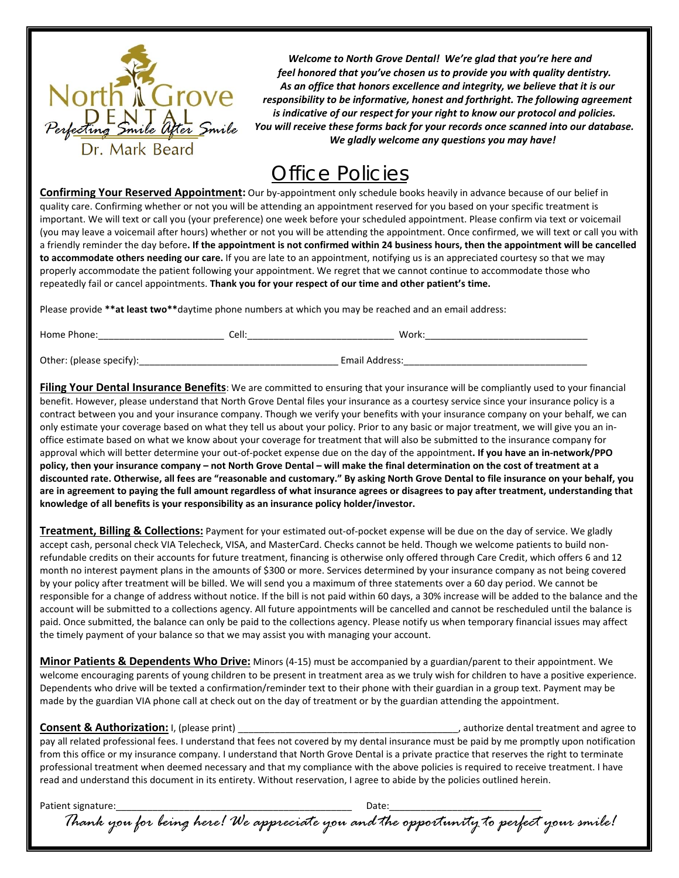

 *Welcome to North Grove Dental! We're glad that you're here and*  feel honored that you've chosen us to provide you with quality dentistry.<br>As an office that honors excellence and integrity, we believe that it is our as an office that honors excellence and integrity, we believe that it i As an office that honors excellence and integrity, we believe that it is our responsibility to be informative, honest and forthright. The following agreement is indicative of our respect for your right to know our protocol and policies.<br>Perfecting Smile after Smile You will receive these forms back for your records once scanned into our datable  *You will receive these forms back for your records once scanned into our database. i Mark* Beard *Megladly welcome any questions you may have!* 

# Office Policies

**Confirming Your Reserved Appointment:** Our by‐appointment only schedule books heavily in advance because of our belief in quality care. Confirming whether or not you will be attending an appointment reserved for you based on your specific treatment is important. We will text or call you (your preference) one week before your scheduled appointment. Please confirm via text or voicemail (you may leave a voicemail after hours) whether or not you will be attending the appointment. Once confirmed, we will text or call you with a friendly reminder the day before. If the appointment is not confirmed within 24 business hours, then the appointment will be cancelled **to accommodate others needing our care.** If you are late to an appointment, notifying us is an appreciated courtesy so that we may properly accommodate the patient following your appointment. We regret that we cannot continue to accommodate those who repeatedly fail or cancel appointments. **Thank you for your respect of our time and other patient's time.**

Please provide **\*\*at least two\*\***daytime phone numbers at which you may be reached and an email address:

| Home Phone:              | Cell: | Work.         |
|--------------------------|-------|---------------|
| Other: (please specify): |       | Email Address |

**Filing Your Dental Insurance Benefits**: We are committed to ensuring that your insurance will be compliantly used to your financial benefit. However, please understand that North Grove Dental files your insurance as a courtesy service since your insurance policy is a contract between you and your insurance company. Though we verify your benefits with your insurance company on your behalf, we can only estimate your coverage based on what they tell us about your policy. Prior to any basic or major treatment, we will give you an in‐ office estimate based on what we know about your coverage for treatment that will also be submitted to the insurance company for approval which will better determine your out‐of‐pocket expense due on the day of the appointment**. If you have an in‐network/PPO** policy, then your insurance company – not North Grove Dental – will make the final determination on the cost of treatment at a discounted rate. Otherwise, all fees are "reasonable and customary." By asking North Grove Dental to file insurance on your behalf, you are in agreement to paying the full amount regardless of what insurance agrees or disagrees to pay after treatment, understanding that **knowledge of all benefits is your responsibility as an insurance policy holder/investor.** 

**Treatment, Billing & Collections:** Payment for your estimated out‐of‐pocket expense will be due on the day of service. We gladly accept cash, personal check VIA Telecheck, VISA, and MasterCard. Checks cannot be held. Though we welcome patients to build nonrefundable credits on their accounts for future treatment, financing is otherwise only offered through Care Credit, which offers 6 and 12 month no interest payment plans in the amounts of \$300 or more. Services determined by your insurance company as not being covered by your policy after treatment will be billed. We will send you a maximum of three statements over a 60 day period. We cannot be responsible for a change of address without notice. If the bill is not paid within 60 days, a 30% increase will be added to the balance and the account will be submitted to a collections agency. All future appointments will be cancelled and cannot be rescheduled until the balance is paid. Once submitted, the balance can only be paid to the collections agency. Please notify us when temporary financial issues may affect the timely payment of your balance so that we may assist you with managing your account.

**Minor Patients & Dependents Who Drive:** Minors (4‐15) must be accompanied by a guardian/parent to their appointment. We welcome encouraging parents of young children to be present in treatment area as we truly wish for children to have a positive experience. Dependents who drive will be texted a confirmation/reminder text to their phone with their guardian in a group text. Payment may be made by the guardian VIA phone call at check out on the day of treatment or by the guardian attending the appointment.

**Consent & Authorization:** I, (please print) **Let us a set of the set of the set of the set of the set of the set o** pay all related professional fees. I understand that fees not covered by my dental insurance must be paid by me promptly upon notification from this office or my insurance company. I understand that North Grove Dental is a private practice that reserves the right to terminate professional treatment when deemed necessary and that my compliance with the above policies is required to receive treatment. I have read and understand this document in its entirety. Without reservation, I agree to abide by the policies outlined herein.

Patient signature:\_\_\_\_\_\_\_\_\_\_\_\_\_\_\_\_\_\_\_\_\_\_\_\_\_\_\_\_\_\_\_\_\_\_\_\_\_\_\_\_\_\_\_\_\_ Date:\_\_\_\_\_\_\_\_\_\_\_\_\_\_\_\_\_\_\_\_\_\_\_\_\_\_\_\_\_

*Thank you for being here! We appreciate you and the opportunity to perfect your smile!*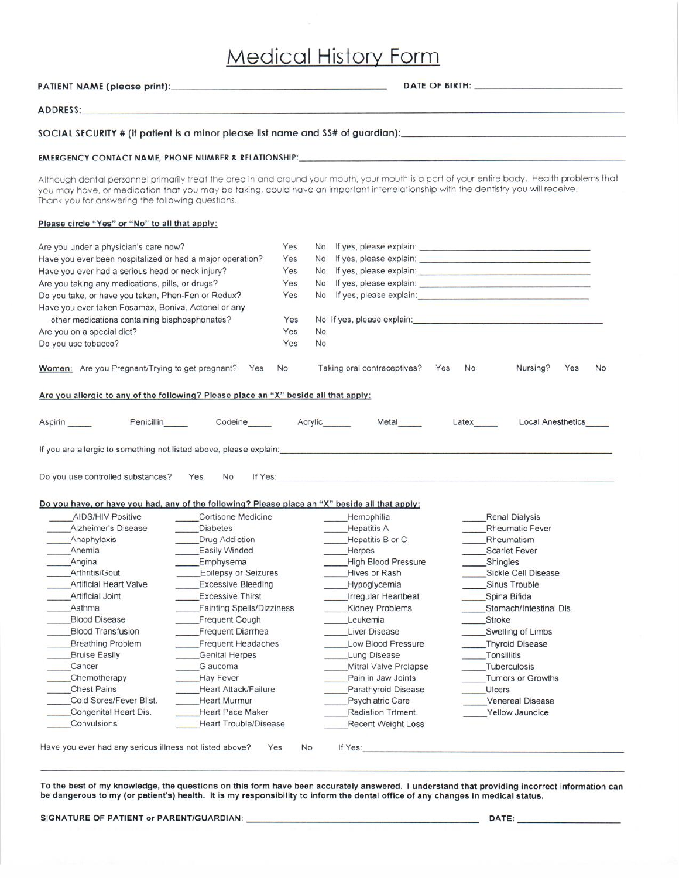# **Medical History Form**

#### **PATIENT NAME (please print):**

#### ADDRESS:

#### SOCIAL SECURITY # (if patient is a minor please list name and SS# of guardian):

#### **EMERGENCY CONTACT NAME, PHONE NUMBER & RELATIONSHIP:\_\_**

Although dental personnel primarily treat the area in and around your mouth, your mouth is a part of your entire body. Health problems that you may have, or medication that you may be taking, could have an important interrelationship with the dentistry you will receive. Thank you for answering the following questions.

#### Please circle "Yes" or "No" to all that apply:

| Are you under a physician's care now?                                                          |                                                                    | Yes | N <sub>o</sub> |                                                                                                                                                                                                                                      |     |               |                                            |     |    |
|------------------------------------------------------------------------------------------------|--------------------------------------------------------------------|-----|----------------|--------------------------------------------------------------------------------------------------------------------------------------------------------------------------------------------------------------------------------------|-----|---------------|--------------------------------------------|-----|----|
| Have you ever been hospitalized or had a major operation?                                      |                                                                    | Yes | No.            | If yes, please explain: <b>contract and the set of the set of the set of the set of the set of the set of the set of the set of the set of the set of the set of the set of the set of the set of the set of the set of the set </b> |     |               |                                            |     |    |
| Have you ever had a serious head or neck injury?                                               |                                                                    | Yes | <b>No</b>      |                                                                                                                                                                                                                                      |     |               |                                            |     |    |
| Are you taking any medications, pills, or drugs?                                               |                                                                    | Yes | <b>No</b>      |                                                                                                                                                                                                                                      |     |               |                                            |     |    |
| Do you take, or have you taken, Phen-Fen or Redux?                                             |                                                                    | Yes | No             |                                                                                                                                                                                                                                      |     |               |                                            |     |    |
| Have you ever taken Fosamax, Boniva, Actonel or any                                            |                                                                    |     |                |                                                                                                                                                                                                                                      |     |               |                                            |     |    |
| other medications containing bisphosphonates?                                                  |                                                                    | Yes |                | No If yes, please explain: No If yes, please explain:                                                                                                                                                                                |     |               |                                            |     |    |
| Are you on a special diet?                                                                     |                                                                    | Yes | <b>No</b>      |                                                                                                                                                                                                                                      |     |               |                                            |     |    |
| Do you use tobacco?                                                                            |                                                                    | Yes | No             |                                                                                                                                                                                                                                      |     |               |                                            |     |    |
|                                                                                                |                                                                    |     |                |                                                                                                                                                                                                                                      |     |               |                                            |     |    |
| <b>Women:</b> Are you Pregnant/Trying to get pregnant? Yes                                     |                                                                    | No  |                | Taking oral contraceptives?                                                                                                                                                                                                          | Yes | No.           | Nursing?                                   | Yes | No |
| Are you allergic to any of the following? Please place an "X" beside all that apply:           |                                                                    |     |                |                                                                                                                                                                                                                                      |     |               |                                            |     |    |
|                                                                                                |                                                                    |     |                |                                                                                                                                                                                                                                      |     |               |                                            |     |    |
| Aspirin<br>Penicillin                                                                          | Codeine                                                            |     |                | Acrylic<br>Metal                                                                                                                                                                                                                     |     | Latex         | <b>Local Anesthetics</b>                   |     |    |
|                                                                                                |                                                                    |     |                |                                                                                                                                                                                                                                      |     |               |                                            |     |    |
|                                                                                                | If you are allergic to something not listed above, please explain: |     |                |                                                                                                                                                                                                                                      |     |               |                                            |     |    |
|                                                                                                |                                                                    |     |                |                                                                                                                                                                                                                                      |     |               |                                            |     |    |
|                                                                                                |                                                                    |     |                |                                                                                                                                                                                                                                      |     |               |                                            |     |    |
|                                                                                                |                                                                    |     |                |                                                                                                                                                                                                                                      |     |               |                                            |     |    |
| Do you use controlled substances?                                                              | Yes<br>No<br>If Yes:                                               |     |                |                                                                                                                                                                                                                                      |     |               |                                            |     |    |
|                                                                                                |                                                                    |     |                |                                                                                                                                                                                                                                      |     |               |                                            |     |    |
| Do you have, or have you had, any of the following? Please place an "X" beside all that apply: |                                                                    |     |                |                                                                                                                                                                                                                                      |     |               |                                            |     |    |
| <b>AIDS/HIV Positive</b><br>Alzheimer's Disease                                                | Cortisone Medicine<br><b>Diabetes</b>                              |     |                | Hemophilia                                                                                                                                                                                                                           |     |               | <b>Renal Dialysis</b>                      |     |    |
| Anaphylaxis                                                                                    | <b>Drug Addiction</b>                                              |     |                | <b>Hepatitis A</b>                                                                                                                                                                                                                   |     |               | <b>Rheumatic Fever</b><br>Rheumatism       |     |    |
| Anemia                                                                                         | Easily Winded                                                      |     |                | Hepatitis B or C<br>Herpes                                                                                                                                                                                                           |     |               | <b>Scarlet Fever</b>                       |     |    |
| Angina                                                                                         | Emphysema                                                          |     |                | <b>High Blood Pressure</b>                                                                                                                                                                                                           |     |               | Shingles                                   |     |    |
| Arthritis/Gout                                                                                 | <b>Epilepsy or Seizures</b>                                        |     |                | Hives or Rash                                                                                                                                                                                                                        |     |               | Sickle Cell Disease                        |     |    |
| <b>Artificial Heart Valve</b>                                                                  |                                                                    |     |                | Hypoglycemia                                                                                                                                                                                                                         |     |               | Sinus Trouble                              |     |    |
| Artificial Joint                                                                               | <b>Excessive Bleeding</b><br><b>Excessive Thirst</b>               |     |                |                                                                                                                                                                                                                                      |     |               |                                            |     |    |
| Asthma                                                                                         |                                                                    |     |                | Irregular Heartbeat                                                                                                                                                                                                                  |     |               | Spina Bifida<br>Stomach/Intestinal Dis.    |     |    |
| <b>Blood Disease</b>                                                                           | <b>Fainting Spells/Dizziness</b>                                   |     |                | Kidney Problems<br>Leukemia                                                                                                                                                                                                          |     |               |                                            |     |    |
| <b>Blood Transfusion</b>                                                                       | Frequent Cough                                                     |     |                | Liver Disease                                                                                                                                                                                                                        |     | Stroke        |                                            |     |    |
|                                                                                                | Frequent Diarrhea                                                  |     |                |                                                                                                                                                                                                                                      |     |               | Swelling of Limbs                          |     |    |
| <b>Breathing Problem</b>                                                                       | <b>Frequent Headaches</b>                                          |     |                | Low Blood Pressure                                                                                                                                                                                                                   |     |               | <b>Thyroid Disease</b>                     |     |    |
| <b>Bruise Easily</b><br>Cancer                                                                 | <b>Genital Herpes</b><br>Glaucoma                                  |     |                | Lung Disease                                                                                                                                                                                                                         |     |               | Tonsillitis                                |     |    |
|                                                                                                |                                                                    |     |                | Mitral Valve Prolapse                                                                                                                                                                                                                |     |               | Tuberculosis                               |     |    |
| Chemotherapy                                                                                   | <b>Hay Fever</b>                                                   |     |                | Pain in Jaw Joints                                                                                                                                                                                                                   |     |               | <b>Tumors or Growths</b>                   |     |    |
| <b>Chest Pains</b>                                                                             | <b>Heart Attack/Failure</b>                                        |     |                | Parathyroid Disease                                                                                                                                                                                                                  |     | <b>Ulcers</b> |                                            |     |    |
| Cold Sores/Fever Blist.<br>Congenital Heart Dis.                                               | <b>Heart Murmur</b><br><b>Heart Pace Maker</b>                     |     |                | Psychiatric Care<br>Radiation Trtment.                                                                                                                                                                                               |     |               | <b>Venereal Disease</b><br>Yellow Jaundice |     |    |

To the best of my knowledge, the questions on this form have been accurately answered. I understand that providing incorrect information can be dangerous to my (or patient's) health. It is my responsibility to inform the dental office of any changes in medical status.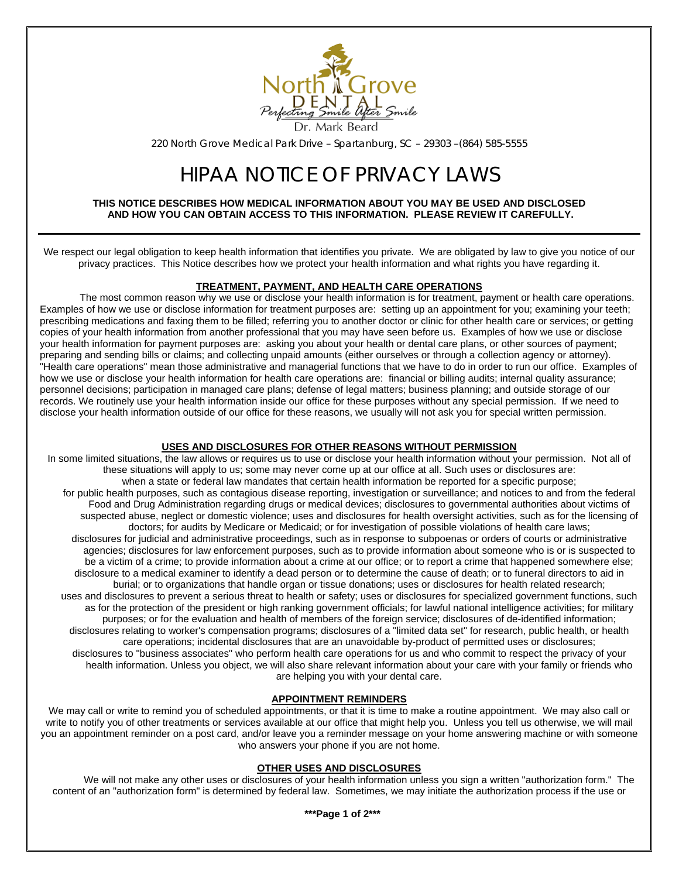

220 North Grove Medical Park Drive – Spartanburg, SC – 29303 –(864) 585-5555

# HIPAA NOTICE OF PRIVACY LAWS

#### **THIS NOTICE DESCRIBES HOW MEDICAL INFORMATION ABOUT YOU MAY BE USED AND DISCLOSED AND HOW YOU CAN OBTAIN ACCESS TO THIS INFORMATION. PLEASE REVIEW IT CAREFULLY.**

We respect our legal obligation to keep health information that identifies you private. We are obligated by law to give you notice of our privacy practices. This Notice describes how we protect your health information and what rights you have regarding it.

### **TREATMENT, PAYMENT, AND HEALTH CARE OPERATIONS**

The most common reason why we use or disclose your health information is for treatment, payment or health care operations. Examples of how we use or disclose information for treatment purposes are: setting up an appointment for you; examining your teeth; prescribing medications and faxing them to be filled; referring you to another doctor or clinic for other health care or services; or getting copies of your health information from another professional that you may have seen before us. Examples of how we use or disclose your health information for payment purposes are: asking you about your health or dental care plans, or other sources of payment; preparing and sending bills or claims; and collecting unpaid amounts (either ourselves or through a collection agency or attorney). "Health care operations" mean those administrative and managerial functions that we have to do in order to run our office. Examples of how we use or disclose your health information for health care operations are: financial or billing audits; internal quality assurance; personnel decisions; participation in managed care plans; defense of legal matters; business planning; and outside storage of our records. We routinely use your health information inside our office for these purposes without any special permission. If we need to disclose your health information outside of our office for these reasons, we usually will not ask you for special written permission.

#### **USES AND DISCLOSURES FOR OTHER REASONS WITHOUT PERMISSION**

In some limited situations, the law allows or requires us to use or disclose your health information without your permission. Not all of these situations will apply to us; some may never come up at our office at all. Such uses or disclosures are: when a state or federal law mandates that certain health information be reported for a specific purpose; for public health purposes, such as contagious disease reporting, investigation or surveillance; and notices to and from the federal Food and Drug Administration regarding drugs or medical devices; disclosures to governmental authorities about victims of suspected abuse, neglect or domestic violence; uses and disclosures for health oversight activities, such as for the licensing of doctors; for audits by Medicare or Medicaid; or for investigation of possible violations of health care laws; disclosures for judicial and administrative proceedings, such as in response to subpoenas or orders of courts or administrative agencies; disclosures for law enforcement purposes, such as to provide information about someone who is or is suspected to be a victim of a crime; to provide information about a crime at our office; or to report a crime that happened somewhere else; disclosure to a medical examiner to identify a dead person or to determine the cause of death; or to funeral directors to aid in burial; or to organizations that handle organ or tissue donations; uses or disclosures for health related research; uses and disclosures to prevent a serious threat to health or safety; uses or disclosures for specialized government functions, such as for the protection of the president or high ranking government officials; for lawful national intelligence activities; for military purposes; or for the evaluation and health of members of the foreign service; disclosures of de-identified information; disclosures relating to worker's compensation programs; disclosures of a "limited data set" for research, public health, or health care operations; incidental disclosures that are an unavoidable by-product of permitted uses or disclosures; disclosures to "business associates" who perform health care operations for us and who commit to respect the privacy of your health information. Unless you object, we will also share relevant information about your care with your family or friends who are helping you with your dental care.

#### **APPOINTMENT REMINDERS**

We may call or write to remind you of scheduled appointments, or that it is time to make a routine appointment. We may also call or write to notify you of other treatments or services available at our office that might help you. Unless you tell us otherwise, we will mail you an appointment reminder on a post card, and/or leave you a reminder message on your home answering machine or with someone who answers your phone if you are not home.

### **OTHER USES AND DISCLOSURES**

We will not make any other uses or disclosures of your health information unless you sign a written "authorization form." The content of an "authorization form" is determined by federal law. Sometimes, we may initiate the authorization process if the use or

 **\*\*\*Page 1 of 2\*\*\***